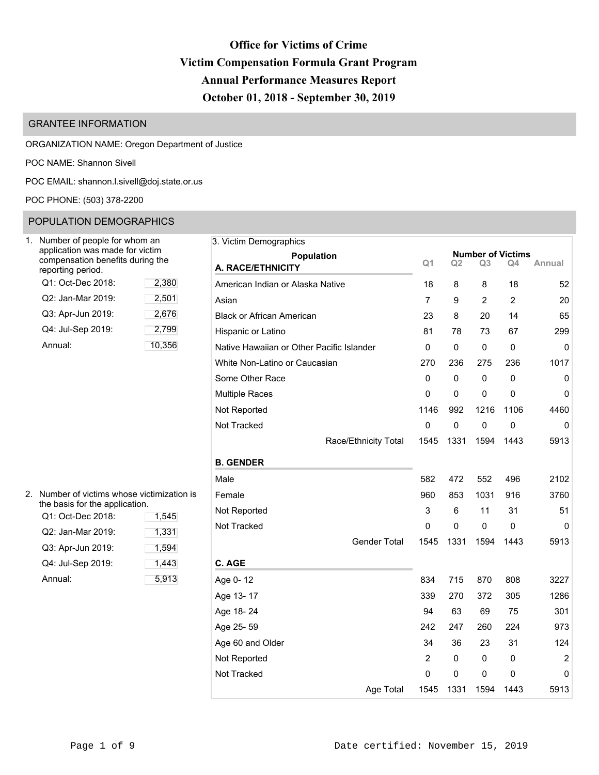# **Office for Victims of Crime Victim Compensation Formula Grant Program Annual Performance Measures Report October 01, 2018 - September 30, 2019**

# GRANTEE INFORMATION

ORGANIZATION NAME: Oregon Department of Justice

POC NAME: Shannon Sivell

POC EMAIL: [shannon.l.sivell@doj.state.or.us](mailto:shannon.l.sivell@doj.state.or.us)

POC PHONE: (503) 378-2200

# POPULATION DEMOGRAPHICS

| Number of people for whom an<br>application was made for victim<br>compensation benefits during the<br>reporting period. |        |
|--------------------------------------------------------------------------------------------------------------------------|--------|
| Q1: Oct-Dec 2018:                                                                                                        | 2,380  |
| Q2: Jan-Mar 2019:                                                                                                        | 2,501  |
| Q3: Apr-Jun 2019:                                                                                                        | 2,676  |
| Q4: Jul-Sep 2019:                                                                                                        | 2,799  |
| Annual:                                                                                                                  | 10,356 |

| 2. Number of victims whose victimization is<br>the basis for the application. |       | Female   |
|-------------------------------------------------------------------------------|-------|----------|
| Q1: Oct-Dec 2018:                                                             | 1,545 | Not Rep  |
| Q2: Jan-Mar 2019:                                                             | 1,331 | Not Trac |
| Q3: Apr-Jun 2019:                                                             | 1,594 |          |
| Q4: Jul-Sep 2019:                                                             | 1,443 | C. AGE   |
| Annual:                                                                       | 5.913 | Age 0-1  |

| Jumber of people for whom an<br>application was made for victim<br>compensation benefits during the |        | 3. Victim Demographics                    |                |              |      |                                |                |
|-----------------------------------------------------------------------------------------------------|--------|-------------------------------------------|----------------|--------------|------|--------------------------------|----------------|
| eporting period.                                                                                    |        | <b>Population</b><br>A. RACE/ETHNICITY    | Q <sub>1</sub> | Q2           | Q3   | <b>Number of Victims</b><br>Q4 | Annual         |
| Q1: Oct-Dec 2018:                                                                                   | 2,380  | American Indian or Alaska Native          | 18             | 8            | 8    | 18                             | 52             |
| Q2: Jan-Mar 2019:                                                                                   | 2,501  | Asian                                     | 7              | 9            | 2    | $\overline{2}$                 | 20             |
| Q3: Apr-Jun 2019:                                                                                   | 2,676  | <b>Black or African American</b>          | 23             | 8            | 20   | 14                             | 65             |
| Q4: Jul-Sep 2019:                                                                                   | 2,799  | Hispanic or Latino                        | 81             | 78           | 73   | 67                             | 299            |
| Annual:                                                                                             | 10,356 | Native Hawaiian or Other Pacific Islander | 0              | 0            | 0    | 0                              | $\mathbf 0$    |
|                                                                                                     |        | White Non-Latino or Caucasian             | 270            | 236          | 275  | 236                            | 1017           |
|                                                                                                     |        | Some Other Race                           | 0              | 0            | 0    | 0                              | $\mathbf 0$    |
|                                                                                                     |        | <b>Multiple Races</b>                     | 0              | 0            | 0    | 0                              | 0              |
|                                                                                                     |        | Not Reported                              | 1146           | 992          | 1216 | 1106                           | 4460           |
|                                                                                                     |        | Not Tracked                               | $\pmb{0}$      | 0            | 0    | 0                              | $\mathbf{0}$   |
|                                                                                                     |        | Race/Ethnicity Total                      | 1545           | 1331         | 1594 | 1443                           | 5913           |
|                                                                                                     |        | <b>B. GENDER</b>                          |                |              |      |                                |                |
|                                                                                                     |        | Male                                      | 582            | 472          | 552  | 496                            | 2102           |
| Number of victims whose victimization is                                                            |        | Female                                    | 960            | 853          | 1031 | 916                            | 3760           |
| he basis for the application.<br>Q1: Oct-Dec 2018:                                                  | 1,545  | Not Reported                              | 3              | 6            | 11   | 31                             | 51             |
| Q2: Jan-Mar 2019:                                                                                   | 1,331  | Not Tracked                               | 0              | 0            | 0    | 0                              | 0              |
| Q3: Apr-Jun 2019:                                                                                   | 1,594  | Gender Total                              | 1545           | 1331         | 1594 | 1443                           | 5913           |
| Q4: Jul-Sep 2019:                                                                                   | 1,443  | C. AGE                                    |                |              |      |                                |                |
| Annual:                                                                                             | 5,913  | Age 0-12                                  | 834            | 715          | 870  | 808                            | 3227           |
|                                                                                                     |        | Age 13-17                                 | 339            | 270          | 372  | 305                            | 1286           |
|                                                                                                     |        | Age 18-24                                 | 94             | 63           | 69   | 75                             | 301            |
|                                                                                                     |        | Age 25-59                                 | 242            | 247          | 260  | 224                            | 973            |
|                                                                                                     |        | Age 60 and Older                          | 34             | 36           | 23   | 31                             | 124            |
|                                                                                                     |        | Not Reported                              | $\overline{2}$ | 0            | 0    | 0                              | $\overline{2}$ |
|                                                                                                     |        | Not Tracked                               | 0              | $\mathbf{0}$ | 0    | 0                              | $\mathbf 0$    |
|                                                                                                     |        | Age Total                                 | 1545           | 1331         | 1594 | 1443                           | 5913           |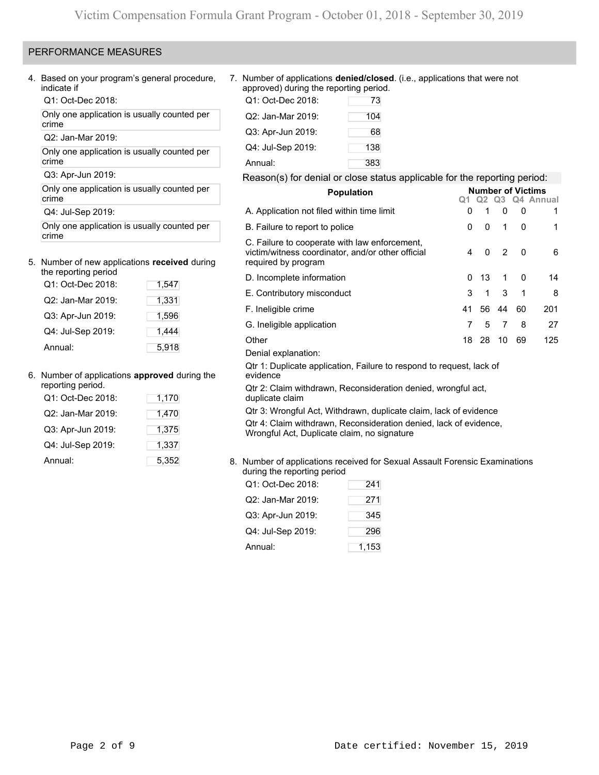# PERFORMANCE MEASURES

4. Based on your program's general procedure, indicate if

Q1: Oct-Dec 2018:

Only one application is usually counted per crime

Q2: Jan-Mar 2019:

Only one application is usually counted per crime

Q3: Apr-Jun 2019:

Only one application is usually counted per crime

Q4: Jul-Sep 2019:

Only one application is usually counted per crime

### 5. Number of new applications **received** during the reporting period

| ווט וטאטונוווע אטווטע |       |
|-----------------------|-------|
| Q1: Oct-Dec 2018:     | 1,547 |
| Q2: Jan-Mar 2019:     | 1,331 |
| Q3: Apr-Jun 2019:     | 1,596 |
| Q4: Jul-Sep 2019:     | 1,444 |
| Annual:               | 5,918 |

# 6. Number of applications **approved** during the

| reporting period. |       |
|-------------------|-------|
| Q1: Oct-Dec 2018: | 1,170 |
| Q2: Jan-Mar 2019: | 1,470 |
| Q3: Apr-Jun 2019: | 1,375 |
| Q4: Jul-Sep 2019: | 1,337 |
| Annual:           | 5,352 |
|                   |       |

## 7. Number of applications **denied/closed**. (i.e., applications that were not approved) during the reporting period.

| Q1: Oct-Dec 2018: | 73  |
|-------------------|-----|
| Q2: Jan-Mar 2019: | 104 |
| Q3: Apr-Jun 2019: | 68  |
| Q4: Jul-Sep 2019: | 138 |
| Annual:           | 383 |

# Reason(s) for denial or close status applicable for the reporting period:

| <b>Population</b>                                                                                                         |    |          |    |          | <b>Number of Victims</b><br>Q2 Q3 Q4 Annual |  |  |
|---------------------------------------------------------------------------------------------------------------------------|----|----------|----|----------|---------------------------------------------|--|--|
| A. Application not filed within time limit                                                                                | 0  | 1        | 0  | 0        | 1                                           |  |  |
| B. Failure to report to police                                                                                            | 0  | $\Omega$ | 1  | 0        | 1                                           |  |  |
| C. Failure to cooperate with law enforcement,<br>victim/witness coordinator, and/or other official<br>required by program | 4  | $\Omega$ | 2  | $\Omega$ | 6                                           |  |  |
| D. Incomplete information                                                                                                 | 0  | 13       | 1  | $\Omega$ | 14                                          |  |  |
| E. Contributory misconduct                                                                                                | 3  | 1        | 3  | 1        | 8                                           |  |  |
| F. Ineligible crime                                                                                                       | 41 | 56       | 44 | 60       | 201                                         |  |  |
| G. Ineligible application                                                                                                 | 7  | 5        | 7  | 8        | 27                                          |  |  |
| Other                                                                                                                     | 18 | 28       | 10 | 69       | 125                                         |  |  |
| Denial explanation:                                                                                                       |    |          |    |          |                                             |  |  |
| Qtr 1: Duplicate application, Failure to respond to request, lack of<br>evidence                                          |    |          |    |          |                                             |  |  |
| Qtr 2: Claim withdrawn, Reconsideration denied, wrongful act,<br>duplicate claim                                          |    |          |    |          |                                             |  |  |
| Qtr 3: Wrongful Act, Withdrawn, duplicate claim, lack of evidence                                                         |    |          |    |          |                                             |  |  |
| Qtr 4: Claim withdrawn, Reconsideration denied, lack of evidence,<br>Wrongful Act, Duplicate claim, no signature          |    |          |    |          |                                             |  |  |

8. Number of applications received for Sexual Assault Forensic Examinations during the reporting period

| Q1: Oct-Dec 2018: | 241   |
|-------------------|-------|
| Q2: Jan-Mar 2019: | 271   |
| Q3: Apr-Jun 2019: | 345   |
| Q4: Jul-Sep 2019: | 296   |
| Annual:           | 1,153 |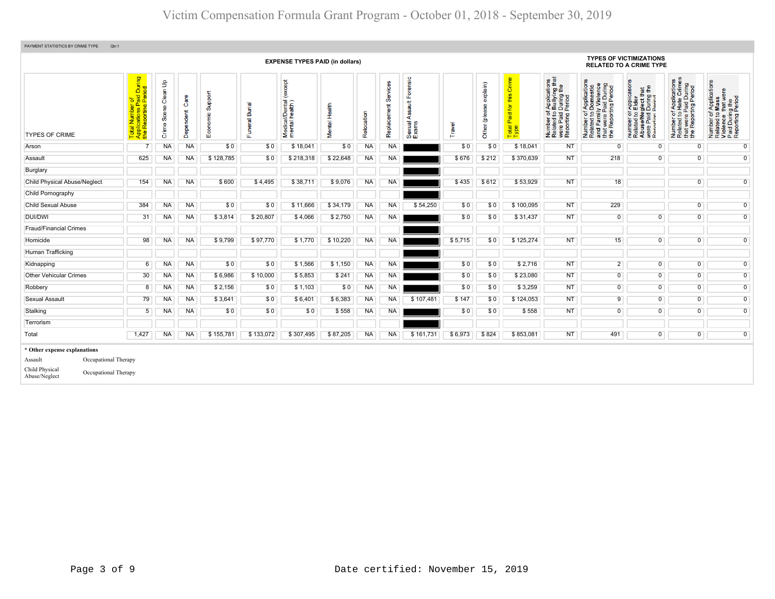| PAYMENT STATISTICS BY CRIME TYPE<br>Qtr:1                                                                                  |                                                                                                     |                      |                   |                                       |                                       |                                              |               |            |                         |                                        |         |                            |                                                    |                                                                                                                                                     |                |                                                                                                                                                                                 |                                                                                                                              |                                                                                                        |
|----------------------------------------------------------------------------------------------------------------------------|-----------------------------------------------------------------------------------------------------|----------------------|-------------------|---------------------------------------|---------------------------------------|----------------------------------------------|---------------|------------|-------------------------|----------------------------------------|---------|----------------------------|----------------------------------------------------|-----------------------------------------------------------------------------------------------------------------------------------------------------|----------------|---------------------------------------------------------------------------------------------------------------------------------------------------------------------------------|------------------------------------------------------------------------------------------------------------------------------|--------------------------------------------------------------------------------------------------------|
|                                                                                                                            |                                                                                                     |                      |                   |                                       |                                       | <b>EXPENSE TYPES PAID (in dollars)</b>       |               |            |                         |                                        |         |                            |                                                    |                                                                                                                                                     |                | <b>TYPES OF VICTIMIZATIONS</b><br><b>RELATED TO A CRIME TYPE</b>                                                                                                                |                                                                                                                              |                                                                                                        |
| <b>TYPES OF CRIME</b>                                                                                                      | During<br>iod<br>al Number of<br>plications Paid I<br>· Reporting Peri<br>Total<br>Applic<br>the Re | Crime Scene Clean Up | Care<br>Dependent | Support<br>nomic<br>$\overline{E}$ co | <b>Burial</b><br>Funeral <sup>l</sup> | except<br>Medical/Dental (<br>mental health) | Mental Health | Relocation | Services<br>Replacement | Forensic<br>Assault<br>Sexual<br>Exams | Travel  | explain)<br>(plea<br>Other | δ<br>- ഗ<br>£<br><b>b</b><br>Paid<br>Total<br>Type | f Applications<br>b Bullying that<br>I During the<br>Period<br>ber of<br>ted to I<br>Paid I<br>nting F<br>Number<br>Related<br>were Pai<br>Reportin |                | cations<br>$\overline{f}$<br>$\overline{a}$<br>r Applica<br>Elder<br>glect the<br>During 1<br>Period<br>599<br>Number of<br>Related to<br>Abuse/New<br>Were Paid<br>Reporting I | Applications<br>Hate Crimes<br>t were Paid During<br>Reporting Period<br>$\frac{1}{6}$<br>Number<br>Related<br>$\frac{1}{2}$ | Number of Applications<br>Related to Mass<br>Violence that were<br>Paid During the<br>Reporting Period |
| Arson                                                                                                                      |                                                                                                     | <b>NA</b>            | <b>NA</b>         | \$0                                   | \$0                                   | \$18,041                                     | \$0           | <b>NA</b>  | <b>NA</b>               |                                        | \$0     | \$0                        | \$18,041                                           | <b>NT</b>                                                                                                                                           | $\overline{0}$ | $\mathbf 0$                                                                                                                                                                     | $\overline{0}$                                                                                                               | $\overline{0}$                                                                                         |
| Assault                                                                                                                    | 625                                                                                                 | <b>NA</b>            | <b>NA</b>         | \$128,785                             | \$0                                   | \$218,318                                    | \$22,648      | <b>NA</b>  | <b>NA</b>               |                                        | \$676   | \$212                      | \$370,639                                          | <b>NT</b>                                                                                                                                           | 218            | 0                                                                                                                                                                               | 0                                                                                                                            | $\overline{0}$                                                                                         |
| Burglary                                                                                                                   |                                                                                                     |                      |                   |                                       |                                       |                                              |               |            |                         |                                        |         |                            |                                                    |                                                                                                                                                     |                |                                                                                                                                                                                 |                                                                                                                              |                                                                                                        |
| <b>Child Physical Abuse/Neglect</b>                                                                                        | 154                                                                                                 | <b>NA</b>            | <b>NA</b>         | \$600                                 | \$4.495                               | \$38,711                                     | \$9,076       | <b>NA</b>  | <b>NA</b>               |                                        | \$435   | \$612                      | \$53,929                                           | <b>NT</b>                                                                                                                                           | 18             |                                                                                                                                                                                 | $\overline{0}$                                                                                                               | $\overline{0}$                                                                                         |
| Child Pornography                                                                                                          |                                                                                                     |                      |                   |                                       |                                       |                                              |               |            |                         |                                        |         |                            |                                                    |                                                                                                                                                     |                |                                                                                                                                                                                 |                                                                                                                              |                                                                                                        |
| Child Sexual Abuse                                                                                                         | 384                                                                                                 | <b>NA</b>            | <b>NA</b>         | \$0                                   | \$0                                   | \$11,666                                     | \$34,179      | <b>NA</b>  | <b>NA</b>               | \$54,250                               | \$0     | \$0                        | \$100,095                                          | <b>NT</b>                                                                                                                                           | 229            |                                                                                                                                                                                 | $\overline{0}$                                                                                                               | $\overline{0}$                                                                                         |
| <b>DUI/DWI</b>                                                                                                             | 31                                                                                                  | <b>NA</b>            | <b>NA</b>         | \$3,814                               | \$20,807                              | \$4,066                                      | \$2,750       | <b>NA</b>  | NA                      |                                        | \$0     | \$0                        | \$31,437                                           | <b>NT</b>                                                                                                                                           | $\overline{0}$ | 0                                                                                                                                                                               | $\overline{0}$                                                                                                               | $\mathbf 0$                                                                                            |
| <b>Fraud/Financial Crimes</b>                                                                                              |                                                                                                     |                      |                   |                                       |                                       |                                              |               |            |                         |                                        |         |                            |                                                    |                                                                                                                                                     |                |                                                                                                                                                                                 |                                                                                                                              |                                                                                                        |
| Homicide                                                                                                                   | 98                                                                                                  | <b>NA</b>            | <b>NA</b>         | \$9,799                               | \$97,770                              | \$1,770                                      | \$10,220      | <b>NA</b>  | <b>NA</b>               |                                        | \$5,715 | \$0                        | \$125,274                                          | <b>NT</b>                                                                                                                                           | 15             | $\overline{0}$                                                                                                                                                                  | $\overline{0}$                                                                                                               | $\overline{0}$                                                                                         |
| Human Trafficking                                                                                                          |                                                                                                     |                      |                   |                                       |                                       |                                              |               |            |                         |                                        |         |                            |                                                    |                                                                                                                                                     |                |                                                                                                                                                                                 |                                                                                                                              |                                                                                                        |
| Kidnapping                                                                                                                 | 6                                                                                                   | <b>NA</b>            | <b>NA</b>         | \$0                                   | \$0                                   | \$1,566                                      | \$1,150       | <b>NA</b>  | <b>NA</b>               |                                        | \$0     | \$0                        | \$2,716                                            | <b>NT</b>                                                                                                                                           | $\overline{2}$ | $\overline{0}$                                                                                                                                                                  | $\overline{0}$                                                                                                               | $\overline{0}$                                                                                         |
| <b>Other Vehicular Crimes</b>                                                                                              | 30                                                                                                  | <b>NA</b>            | <b>NA</b>         | \$6,986                               | \$10,000                              | \$5,853                                      | \$241         | <b>NA</b>  | NA                      |                                        | \$0     | \$0                        | \$23,080                                           | <b>NT</b>                                                                                                                                           | $\overline{0}$ | $\overline{0}$                                                                                                                                                                  | $\mathbf 0$                                                                                                                  | $\overline{0}$                                                                                         |
| Robbery                                                                                                                    | 8                                                                                                   | <b>NA</b>            | <b>NA</b>         | \$2,156                               | \$0                                   | \$1,103                                      | \$0           | <b>NA</b>  | <b>NA</b>               |                                        | \$0     | \$0                        | \$3,259                                            | <b>NT</b>                                                                                                                                           | $\overline{0}$ | $\overline{0}$                                                                                                                                                                  | $\overline{0}$                                                                                                               | $\overline{0}$                                                                                         |
| Sexual Assault                                                                                                             | 79                                                                                                  | <b>NA</b>            | <b>NA</b>         | \$3,641                               | \$0                                   | \$6,401                                      | \$6,383       | <b>NA</b>  | <b>NA</b>               | \$107,481                              | \$147   | \$0                        | \$124,053                                          | <b>NT</b>                                                                                                                                           | 9              | $\overline{0}$                                                                                                                                                                  | $\overline{0}$                                                                                                               | $\overline{0}$                                                                                         |
| Stalking                                                                                                                   | 5                                                                                                   | NA                   | <b>NA</b>         | \$0                                   | \$0                                   | \$0                                          | \$558         | <b>NA</b>  | <b>NA</b>               |                                        | \$0     | \$0                        | \$558                                              | <b>NT</b>                                                                                                                                           | $\overline{0}$ | $\overline{0}$                                                                                                                                                                  | $\overline{0}$                                                                                                               | $\overline{0}$                                                                                         |
| Terrorism                                                                                                                  |                                                                                                     |                      |                   |                                       |                                       |                                              |               |            |                         |                                        |         |                            |                                                    |                                                                                                                                                     |                |                                                                                                                                                                                 |                                                                                                                              |                                                                                                        |
| Total                                                                                                                      | 1,427                                                                                               | <b>NA</b>            | <b>NA</b>         | \$155.781                             | \$133,072                             | \$307,495                                    | \$87,205      | <b>NA</b>  | <b>NA</b>               | \$161,731                              | \$6,973 | \$824                      | \$853,081                                          | <b>NT</b>                                                                                                                                           | 491            | $\overline{0}$                                                                                                                                                                  | $\overline{0}$                                                                                                               | $\overline{0}$                                                                                         |
| * Other expense explanations<br>Occupational Therapy<br>Assault<br>Child Physical<br>Occupational Therapy<br>Abuse/Neglect |                                                                                                     |                      |                   |                                       |                                       |                                              |               |            |                         |                                        |         |                            |                                                    |                                                                                                                                                     |                |                                                                                                                                                                                 |                                                                                                                              |                                                                                                        |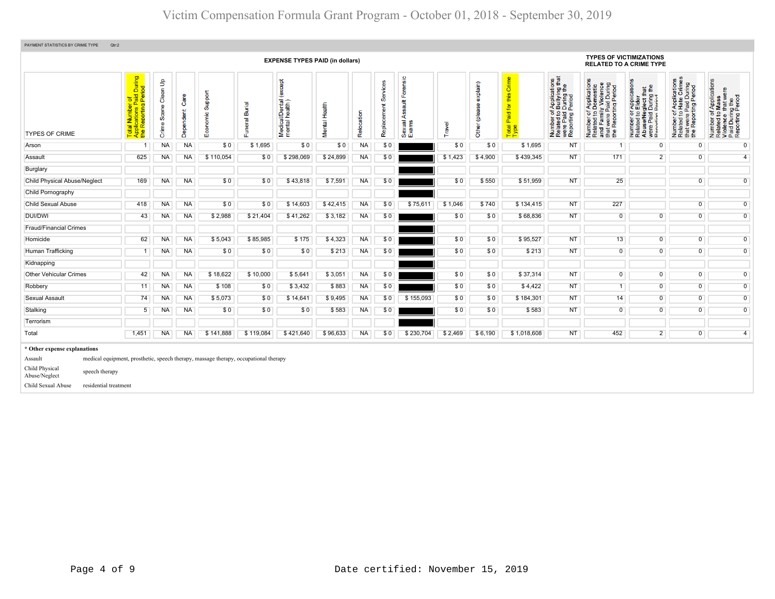| PAYMENT STATISTICS BY CRIME TYPE<br>Qtr:2                                                                                                   |                                                                                                                                      |                            |                   |                                                                                      |                          |                                            |               |            |                         |                                        |         |                           |                                            |                                                                                                                                          |                                                                                                                       |                                                                                                                                                                                        |                                                                                                                         |                                                                                                                                       |
|---------------------------------------------------------------------------------------------------------------------------------------------|--------------------------------------------------------------------------------------------------------------------------------------|----------------------------|-------------------|--------------------------------------------------------------------------------------|--------------------------|--------------------------------------------|---------------|------------|-------------------------|----------------------------------------|---------|---------------------------|--------------------------------------------|------------------------------------------------------------------------------------------------------------------------------------------|-----------------------------------------------------------------------------------------------------------------------|----------------------------------------------------------------------------------------------------------------------------------------------------------------------------------------|-------------------------------------------------------------------------------------------------------------------------|---------------------------------------------------------------------------------------------------------------------------------------|
|                                                                                                                                             |                                                                                                                                      |                            |                   |                                                                                      |                          | <b>EXPENSE TYPES PAID (in dollars)</b>     |               |            |                         |                                        |         |                           |                                            |                                                                                                                                          | <b>TYPES OF VICTIMIZATIONS</b><br><b>RELATED TO A CRIME TYPE</b>                                                      |                                                                                                                                                                                        |                                                                                                                         |                                                                                                                                       |
| <b>TYPES OF CRIME</b>                                                                                                                       | of<br>Paid During<br>  Period<br>al Number o<br>plications Pa<br>Reporting F<br>$\overline{\mathbf{a}}$<br>Late<br>4<br><sub>1</sub> | Clean Up<br>Scene<br>Crime | Care<br>Dependent | Support<br>Economic                                                                  | <b>Burial</b><br>Funeral | except<br>Medical/Dental<br>mental health) | Mental Health | Relocation | Services<br>Replacement | Forensic<br>Assault<br>Sexual<br>Exams | Travel  | explain)<br>Other (please | Crime<br>this<br>Paid for<br>Total<br>Type | of Applications<br>o Bullying that<br>I During the<br>I Period<br>ចំ ខ <u>ថ</u><br>Number of<br>Related to<br>were Paid I<br>Reporting F | Number of Applications<br>Related to Domestic<br>and Family Violence<br>that were Paid During<br>the Reporting Period | cations<br>that<br>g the<br>glect th<br>During<br>Period<br>ಕ<br><b>Appli</b><br>Eldei<br>59<br>se/Ne<br>Paid<br>rting<br>Number<br>Related<br>த உ<br>å<br>$\frac{1}{2}$ $\frac{1}{2}$ | of Applications<br>to Hate Crimes<br>at were Paid During<br>Beporting Period<br>Ε.<br>Number<br>Related<br>the <b>i</b> | r of Applications<br>to Mass<br>Number of Application<br>Related to Mass<br>Violence that were<br>Paid During the<br>Reporting Period |
| Arson                                                                                                                                       | $\overline{1}$                                                                                                                       | <b>NA</b>                  | <b>NA</b>         | \$0                                                                                  | \$1,695                  | \$0                                        | \$0           | <b>NA</b>  | \$0                     |                                        | \$0     | \$0                       | \$1,695                                    | <b>NT</b>                                                                                                                                | -1                                                                                                                    | $\overline{0}$                                                                                                                                                                         | $\overline{0}$                                                                                                          | $\overline{0}$                                                                                                                        |
| Assault                                                                                                                                     | 625                                                                                                                                  | <b>NA</b>                  | <b>NA</b>         | \$110,054                                                                            | \$0                      | \$298,069                                  | \$24,899      | <b>NA</b>  | \$0                     |                                        | \$1,423 | \$4,900                   | \$439,345                                  | <b>NT</b>                                                                                                                                | 171                                                                                                                   | $\overline{2}$                                                                                                                                                                         | $\overline{0}$                                                                                                          | $\overline{4}$                                                                                                                        |
| Burglary                                                                                                                                    |                                                                                                                                      |                            |                   |                                                                                      |                          |                                            |               |            |                         |                                        |         |                           |                                            |                                                                                                                                          |                                                                                                                       |                                                                                                                                                                                        |                                                                                                                         |                                                                                                                                       |
| <b>Child Physical Abuse/Neglect</b>                                                                                                         | 169                                                                                                                                  | <b>NA</b>                  | <b>NA</b>         | \$0                                                                                  | \$0                      | \$43,818                                   | \$7,591       | NA         | \$0                     |                                        | \$0     | \$550                     | \$51,959                                   | <b>NT</b>                                                                                                                                | 25                                                                                                                    |                                                                                                                                                                                        | $\overline{0}$                                                                                                          | $\overline{0}$                                                                                                                        |
| Child Pornography                                                                                                                           |                                                                                                                                      |                            |                   |                                                                                      |                          |                                            |               |            |                         |                                        |         |                           |                                            |                                                                                                                                          |                                                                                                                       |                                                                                                                                                                                        |                                                                                                                         |                                                                                                                                       |
| <b>Child Sexual Abuse</b>                                                                                                                   | 418                                                                                                                                  | <b>NA</b>                  | <b>NA</b>         | \$0                                                                                  | \$0                      | \$14,603                                   | \$42,415      | <b>NA</b>  | \$0                     | \$75,611                               | \$1,046 | \$740                     | \$134,415                                  | <b>NT</b>                                                                                                                                | 227                                                                                                                   |                                                                                                                                                                                        | $\overline{0}$                                                                                                          | $\overline{0}$                                                                                                                        |
| <b>DUI/DWI</b>                                                                                                                              | 43                                                                                                                                   | <b>NA</b>                  | <b>NA</b>         | \$2,988                                                                              | \$21,404                 | \$41,262                                   | \$3,182       | <b>NA</b>  | \$0                     |                                        | \$0     | \$0                       | \$68,836                                   | <b>NT</b>                                                                                                                                | $\overline{0}$                                                                                                        | $\overline{0}$                                                                                                                                                                         | $\overline{0}$                                                                                                          | $\overline{0}$                                                                                                                        |
| <b>Fraud/Financial Crimes</b>                                                                                                               |                                                                                                                                      |                            |                   |                                                                                      |                          |                                            |               |            |                         |                                        |         |                           |                                            |                                                                                                                                          |                                                                                                                       |                                                                                                                                                                                        |                                                                                                                         |                                                                                                                                       |
| Homicide                                                                                                                                    | 62                                                                                                                                   | <b>NA</b>                  | <b>NA</b>         | \$5,043                                                                              | \$85,985                 | \$175                                      | \$4,323       | <b>NA</b>  | \$0                     |                                        | \$0     | \$0                       | \$95,527                                   | <b>NT</b>                                                                                                                                | 13                                                                                                                    | $\overline{0}$                                                                                                                                                                         | $\overline{0}$                                                                                                          | $\overline{0}$                                                                                                                        |
| Human Trafficking                                                                                                                           | $\mathbf{1}$                                                                                                                         | <b>NA</b>                  | <b>NA</b>         | \$0                                                                                  | \$0                      | \$0                                        | \$213         | <b>NA</b>  | \$0                     |                                        | \$0     | \$0                       | \$213                                      | <b>NT</b>                                                                                                                                | $\overline{0}$                                                                                                        | $\overline{0}$                                                                                                                                                                         | $\overline{0}$                                                                                                          | $\mathbf{0}$                                                                                                                          |
| Kidnapping                                                                                                                                  |                                                                                                                                      |                            |                   |                                                                                      |                          |                                            |               |            |                         |                                        |         |                           |                                            |                                                                                                                                          |                                                                                                                       |                                                                                                                                                                                        |                                                                                                                         |                                                                                                                                       |
| <b>Other Vehicular Crimes</b>                                                                                                               | 42                                                                                                                                   | <b>NA</b>                  | <b>NA</b>         | \$18,622                                                                             | \$10,000                 | \$5,641                                    | \$3,051       | <b>NA</b>  | \$0                     |                                        | \$0     | \$0                       | \$37,314                                   | <b>NT</b>                                                                                                                                | $\overline{0}$                                                                                                        | $\overline{0}$                                                                                                                                                                         | $\overline{0}$                                                                                                          | $\overline{0}$                                                                                                                        |
| Robbery                                                                                                                                     | 11                                                                                                                                   | <b>NA</b>                  | <b>NA</b>         | \$108                                                                                | \$0                      | \$3,432                                    | \$883         | <b>NA</b>  | \$0                     |                                        | \$0     | \$0                       | \$4,422                                    | <b>NT</b>                                                                                                                                | $\overline{1}$                                                                                                        | $\overline{0}$                                                                                                                                                                         | $\overline{0}$                                                                                                          | $\overline{0}$                                                                                                                        |
| Sexual Assault                                                                                                                              | 74                                                                                                                                   | <b>NA</b>                  | <b>NA</b>         | \$5,073                                                                              | \$0                      | \$14,641                                   | \$9,495       | <b>NA</b>  | \$0                     | \$155,093                              | \$0     | \$0                       | \$184,301                                  | <b>NT</b>                                                                                                                                | 14                                                                                                                    | $\overline{0}$                                                                                                                                                                         | $\overline{0}$                                                                                                          | $\mathbf{0}$                                                                                                                          |
| Stalking                                                                                                                                    | 5                                                                                                                                    | <b>NA</b>                  | <b>NA</b>         | \$0                                                                                  | \$0                      | \$0                                        | \$583         | <b>NA</b>  | \$0                     |                                        | \$0     | \$0                       | \$583                                      | <b>NT</b>                                                                                                                                | $\overline{0}$                                                                                                        | $\overline{0}$                                                                                                                                                                         | $\overline{0}$                                                                                                          | $\overline{0}$                                                                                                                        |
| Terrorism                                                                                                                                   |                                                                                                                                      |                            |                   |                                                                                      |                          |                                            |               |            |                         |                                        |         |                           |                                            |                                                                                                                                          |                                                                                                                       |                                                                                                                                                                                        |                                                                                                                         |                                                                                                                                       |
| Total                                                                                                                                       | 1.451                                                                                                                                | <b>NA</b>                  | <b>NA</b>         | \$141.888                                                                            | \$119.084                | \$421.640                                  | \$96,633      | <b>NA</b>  | SO.                     | \$230.704                              | \$2.469 | \$6,190                   | \$1.018.608                                | <b>NT</b>                                                                                                                                | 452                                                                                                                   | $\overline{2}$                                                                                                                                                                         | $\overline{0}$                                                                                                          | $\overline{4}$                                                                                                                        |
| * Other expense explanations<br>Assault<br>Child Physical<br>speech therapy<br>Abuse/Neglect<br>Child Sexual Abuse<br>residential treatment |                                                                                                                                      |                            |                   | medical equipment, prosthetic, speech therapy, massage therapy, occupational therapy |                          |                                            |               |            |                         |                                        |         |                           |                                            |                                                                                                                                          |                                                                                                                       |                                                                                                                                                                                        |                                                                                                                         |                                                                                                                                       |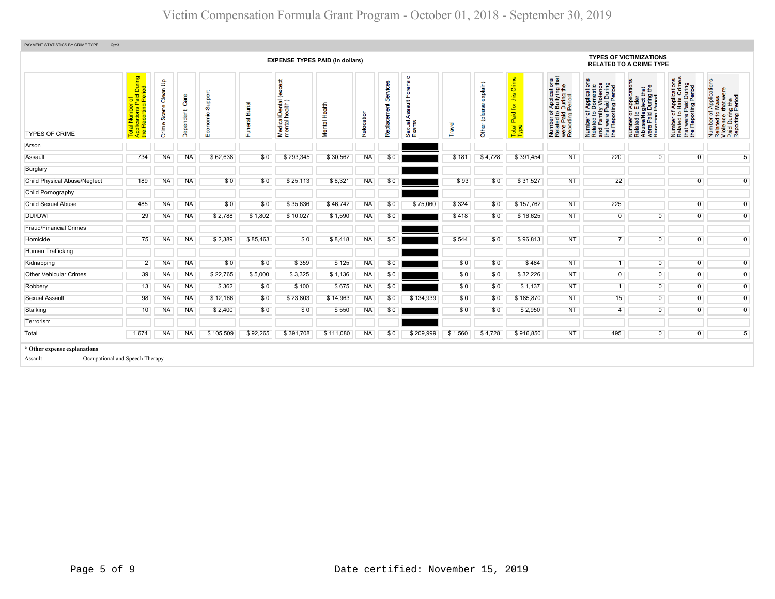|                                     |                                                                     |                                                             |                   |                                     |                     | <b>EXPENSE TYPES PAID (in dollars)</b>    |               |            |                |                                            |         |                              |                                   |                                                                                                                          |                                                                                                                       | <b>TYPES OF VICTIMIZATIONS</b><br><b>RELATED TO A CRIME TYPE</b>                                                                                                    |                                                                                                                                   |                                                                                                        |
|-------------------------------------|---------------------------------------------------------------------|-------------------------------------------------------------|-------------------|-------------------------------------|---------------------|-------------------------------------------|---------------|------------|----------------|--------------------------------------------|---------|------------------------------|-----------------------------------|--------------------------------------------------------------------------------------------------------------------------|-----------------------------------------------------------------------------------------------------------------------|---------------------------------------------------------------------------------------------------------------------------------------------------------------------|-----------------------------------------------------------------------------------------------------------------------------------|--------------------------------------------------------------------------------------------------------|
| <b>TYPES OF CRIME</b>               | Total Number of<br>Applications Paid During<br>the Reporting Period | $\frac{\mathsf{o}}{\mathsf{o}}$<br>Clean<br>Scene<br>Crime: | Care<br>Dependent | Support<br>nomic<br>$\bar{8}$<br>шī | Burial<br>eral<br>ш | (except<br>al/Dental<br>Medical<br>mental | Mental Health | Relocation | だ<br>Replaceme | Forensic<br>ssault<br>₹<br>Sexual<br>Exams | ravel   | explain)<br>8<br>Other (plea | this Crime<br>Paid for<br>Total I | f Applications<br>b Bullying that<br>I During the<br>Period<br>Number of A<br>Related to E<br>were Paid D<br>Reporting P | Number of Applications<br>Related to Domestic<br>and Family Violence<br>that were Paid During<br>the Reporting Period | r Applications<br>Elder<br>) Elder<br>eglect that<br>I During the<br>Period<br>59<br>se/Ne<br>Paid<br>rting<br>Number<br>Related<br>Abuse/N<br>were Pai<br>Reportin | mber of Applications<br>lated to Hate Crimes<br>at were Paid During<br>9 Reporting Period<br>Number<br>Related 1<br>$\frac{1}{2}$ | Number of Applications<br>Related to Mass<br>Violence that were<br>Paid During the<br>Reporting Period |
| Arson                               |                                                                     |                                                             |                   |                                     |                     |                                           |               |            |                |                                            |         |                              |                                   |                                                                                                                          |                                                                                                                       |                                                                                                                                                                     |                                                                                                                                   |                                                                                                        |
| Assault                             | 734                                                                 | <b>NA</b>                                                   | <b>NA</b>         | \$62,638                            | \$0                 | \$293,345                                 | \$30,562      | <b>NA</b>  | \$0            |                                            | \$181   | \$4,728                      | \$391,454                         | <b>NT</b>                                                                                                                | 220                                                                                                                   | $\overline{0}$                                                                                                                                                      | $\overline{0}$                                                                                                                    | $\sqrt{5}$                                                                                             |
| Burglary                            |                                                                     |                                                             |                   |                                     |                     |                                           |               |            |                |                                            |         |                              |                                   |                                                                                                                          |                                                                                                                       |                                                                                                                                                                     |                                                                                                                                   |                                                                                                        |
| <b>Child Physical Abuse/Neglect</b> | 189                                                                 | NA                                                          | NA                | \$0                                 | \$0                 | \$25,113                                  | \$6,321       | <b>NA</b>  | \$0            |                                            | \$93    | \$0                          | \$31,527                          | <b>NT</b>                                                                                                                | 22                                                                                                                    |                                                                                                                                                                     | $\overline{0}$                                                                                                                    | $\mathbf 0$                                                                                            |
| Child Pornography                   |                                                                     |                                                             |                   |                                     |                     |                                           |               |            |                |                                            |         |                              |                                   |                                                                                                                          |                                                                                                                       |                                                                                                                                                                     |                                                                                                                                   |                                                                                                        |
| <b>Child Sexual Abuse</b>           | 485                                                                 | <b>NA</b>                                                   | <b>NA</b>         | \$0                                 | \$0                 | \$35,636                                  | \$46,742      | <b>NA</b>  | \$0            | \$75,060                                   | \$324   | \$0                          | \$157,762                         | <b>NT</b>                                                                                                                | 225                                                                                                                   |                                                                                                                                                                     | $\overline{0}$                                                                                                                    | $\overline{0}$                                                                                         |
| <b>DUI/DWI</b>                      | 29                                                                  | <b>NA</b>                                                   | <b>NA</b>         | \$2,788                             | \$1,802             | \$10,027                                  | \$1,590       | <b>NA</b>  | \$0            |                                            | \$418   | \$0                          | \$16,625                          | <b>NT</b>                                                                                                                | 0                                                                                                                     | $\mathbf 0$                                                                                                                                                         | $\mathbf 0$                                                                                                                       | $\mathbf 0$                                                                                            |
| <b>Fraud/Financial Crimes</b>       |                                                                     |                                                             |                   |                                     |                     |                                           |               |            |                |                                            |         |                              |                                   |                                                                                                                          |                                                                                                                       |                                                                                                                                                                     |                                                                                                                                   |                                                                                                        |
| Homicide                            | 75                                                                  | <b>NA</b>                                                   | <b>NA</b>         | \$2,389                             | \$85,463            | \$0                                       | \$8,418       | <b>NA</b>  | \$0            |                                            | \$544   | \$0                          | \$96,813                          | <b>NT</b>                                                                                                                | 7 <sup>1</sup>                                                                                                        | $\overline{0}$                                                                                                                                                      | $\overline{0}$                                                                                                                    | $\overline{0}$                                                                                         |
| Human Trafficking                   |                                                                     |                                                             |                   |                                     |                     |                                           |               |            |                |                                            |         |                              |                                   |                                                                                                                          |                                                                                                                       |                                                                                                                                                                     |                                                                                                                                   |                                                                                                        |
| Kidnapping                          | $\overline{2}$                                                      | <b>NA</b>                                                   | <b>NA</b>         | \$0                                 | \$0                 | \$359                                     | \$125         | <b>NA</b>  | \$0            |                                            | \$0     | \$0                          | \$484                             | <b>NT</b>                                                                                                                | 1                                                                                                                     | $\overline{0}$                                                                                                                                                      | $\overline{0}$                                                                                                                    | $\mathsf{O}\xspace$                                                                                    |
| <b>Other Vehicular Crimes</b>       | 39                                                                  | <b>NA</b>                                                   | <b>NA</b>         | \$22,765                            | \$5,000             | \$3,325                                   | \$1,136       | <b>NA</b>  | \$0            |                                            | \$0     | \$0                          | \$32,226                          | <b>NT</b>                                                                                                                | $\overline{0}$                                                                                                        | $\overline{0}$                                                                                                                                                      | $\overline{0}$                                                                                                                    | $\overline{0}$                                                                                         |
| Robbery                             | 13                                                                  | <b>NA</b>                                                   | <b>NA</b>         | \$362                               | \$0                 | \$100                                     | \$675         | <b>NA</b>  | \$0            |                                            | \$0     | \$0                          | \$1,137                           | <b>NT</b>                                                                                                                | 1                                                                                                                     | $\overline{0}$                                                                                                                                                      | $\overline{0}$                                                                                                                    | $\mathbf 0$                                                                                            |
| Sexual Assault                      | 98                                                                  | <b>NA</b>                                                   | <b>NA</b>         | \$12,166                            | \$0                 | \$23,803                                  | \$14,963      | <b>NA</b>  | \$0            | \$134,939                                  | \$0     | \$0                          | \$185,870                         | <b>NT</b>                                                                                                                | 15                                                                                                                    | $\overline{0}$                                                                                                                                                      | $\overline{0}$                                                                                                                    | $\overline{0}$                                                                                         |
| Stalking                            | 10                                                                  | NA                                                          | NA                | \$2,400                             | \$0                 | \$0                                       | \$550         | <b>NA</b>  | \$0            |                                            | \$0     | \$0                          | \$2,950                           | <b>NT</b>                                                                                                                | $\overline{4}$                                                                                                        | $\overline{0}$                                                                                                                                                      | $\overline{0}$                                                                                                                    | $\mathbf 0$                                                                                            |
| Terrorism                           |                                                                     |                                                             |                   |                                     |                     |                                           |               |            |                |                                            |         |                              |                                   |                                                                                                                          |                                                                                                                       |                                                                                                                                                                     |                                                                                                                                   |                                                                                                        |
| Total                               | 1,674                                                               | <b>NA</b>                                                   | <b>NA</b>         | \$105,509                           | \$92,265            | \$391,708                                 | \$111,080     | <b>NA</b>  | \$0            | \$209,999                                  | \$1,560 | \$4,728                      | \$916,850                         | <b>NT</b>                                                                                                                | 495                                                                                                                   | $\overline{0}$                                                                                                                                                      | $\overline{0}$                                                                                                                    | 5 <sup>1</sup>                                                                                         |
| * Other expense explanations        |                                                                     |                                                             |                   |                                     |                     |                                           |               |            |                |                                            |         |                              |                                   |                                                                                                                          |                                                                                                                       |                                                                                                                                                                     |                                                                                                                                   |                                                                                                        |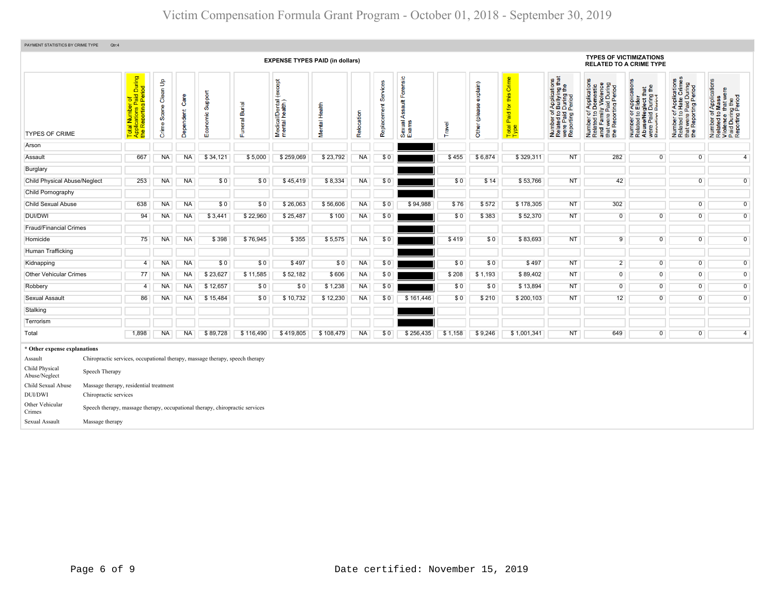| PAYMENT STATISTICS BY CRIME TYPE | Qtr:4                                                                        |                                                                                           |                                   |                   |                     |                |                                              |               |            |                         |                                        |         |                           |                                                                    |                                                                                                                                         |                                                                                                                             |                                                                                                                                                  |                                                                                                                      |                                                                                                        |  |  |  |  |  |  |  |  |
|----------------------------------|------------------------------------------------------------------------------|-------------------------------------------------------------------------------------------|-----------------------------------|-------------------|---------------------|----------------|----------------------------------------------|---------------|------------|-------------------------|----------------------------------------|---------|---------------------------|--------------------------------------------------------------------|-----------------------------------------------------------------------------------------------------------------------------------------|-----------------------------------------------------------------------------------------------------------------------------|--------------------------------------------------------------------------------------------------------------------------------------------------|----------------------------------------------------------------------------------------------------------------------|--------------------------------------------------------------------------------------------------------|--|--|--|--|--|--|--|--|
|                                  |                                                                              |                                                                                           |                                   |                   |                     |                | <b>EXPENSE TYPES PAID (in dollars)</b>       |               |            |                         |                                        |         |                           |                                                                    |                                                                                                                                         | <b>TYPES OF VICTIMIZATIONS</b><br><b>RELATED TO A CRIME TYPE</b>                                                            |                                                                                                                                                  |                                                                                                                      |                                                                                                        |  |  |  |  |  |  |  |  |
| <b>TYPES OF CRIME</b>            |                                                                              | tal Number of<br>plications Paid During<br>• Reporting Period<br>Total<br>Applic<br>the R | Clean Up<br>Scene<br><b>Crime</b> | Care<br>Dependent | Support<br>Economic | Funeral Burial | except<br>Medical/Dental (<br>mental health) | Mental Health | Relocation | Services<br>Replacement | Forensic<br>Assault<br>Sexual<br>Exams | Travel  | explain)<br>Other (please | Crime<br>this<br>$\overline{\mathbf{r}}$<br>Paid:<br>Total<br>Type | rf Applications<br>b Bullying that<br>I During the<br>Period<br>Number of <i>I</i><br>Related to <b>I</b><br>were Paid L<br>Reporting F | Number of Applications<br>Related to Domestic<br>and Family Violence<br>that were Paid During<br>the Reporting Period<br>59 | r Application<br>Elder<br>glect that<br>During the<br>Period<br>52<br>Number of<br>Related to<br>Abuse/Neg<br>were Paid I<br>Reporting Reporting | Applications<br>Hate Crimes<br>that were Paid During<br>the Reporting Period<br>$5\overline{2}$<br>Number<br>Related | Number of Applications<br>Related to Mass<br>Violence that were<br>Paid During the<br>Reporting Period |  |  |  |  |  |  |  |  |
| Arson                            |                                                                              |                                                                                           |                                   |                   |                     |                |                                              |               |            |                         |                                        |         |                           |                                                                    |                                                                                                                                         |                                                                                                                             |                                                                                                                                                  |                                                                                                                      |                                                                                                        |  |  |  |  |  |  |  |  |
| Assault                          |                                                                              | 667                                                                                       | <b>NA</b>                         | <b>NA</b>         | \$34,121            | \$5,000        | \$259,069                                    | \$23,792      | <b>NA</b>  | \$0                     |                                        | \$455   | \$6,874                   | \$329,311                                                          | <b>NT</b>                                                                                                                               | 282                                                                                                                         | $\overline{0}$                                                                                                                                   | $\overline{0}$                                                                                                       | $\overline{4}$                                                                                         |  |  |  |  |  |  |  |  |
| Burglary                         |                                                                              |                                                                                           |                                   |                   |                     |                |                                              |               |            |                         |                                        |         |                           |                                                                    |                                                                                                                                         |                                                                                                                             |                                                                                                                                                  |                                                                                                                      |                                                                                                        |  |  |  |  |  |  |  |  |
| Child Physical Abuse/Neglect     |                                                                              | 253                                                                                       | <b>NA</b>                         | <b>NA</b>         | \$0                 | \$0            | \$45,419                                     | \$8,334       | <b>NA</b>  | \$0                     |                                        | \$0     | \$14                      | \$53,766                                                           | <b>NT</b>                                                                                                                               | 42                                                                                                                          |                                                                                                                                                  | $\overline{0}$                                                                                                       | $\overline{0}$                                                                                         |  |  |  |  |  |  |  |  |
| Child Pornography                |                                                                              |                                                                                           |                                   |                   |                     |                |                                              |               |            |                         |                                        |         |                           |                                                                    |                                                                                                                                         |                                                                                                                             |                                                                                                                                                  |                                                                                                                      |                                                                                                        |  |  |  |  |  |  |  |  |
| <b>Child Sexual Abuse</b>        |                                                                              | 638                                                                                       | <b>NA</b>                         | <b>NA</b>         | \$0                 | \$0            | \$26,063                                     | \$56,606      | <b>NA</b>  | \$0                     | \$94,988                               | \$76    | \$572                     | \$178,305                                                          | <b>NT</b>                                                                                                                               | 302                                                                                                                         |                                                                                                                                                  | $\overline{0}$                                                                                                       | $\overline{0}$                                                                                         |  |  |  |  |  |  |  |  |
| <b>DUI/DWI</b>                   |                                                                              | 94                                                                                        | <b>NA</b>                         | <b>NA</b>         | \$3,441             | \$22,960       | \$25,487                                     | \$100         | <b>NA</b>  | \$0                     |                                        | \$0     | \$383                     | \$52,370                                                           | <b>NT</b>                                                                                                                               | $\mathbf 0$                                                                                                                 | $\overline{0}$                                                                                                                                   | $\overline{0}$                                                                                                       | $\overline{0}$                                                                                         |  |  |  |  |  |  |  |  |
| <b>Fraud/Financial Crimes</b>    |                                                                              |                                                                                           |                                   |                   |                     |                |                                              |               |            |                         |                                        |         |                           |                                                                    |                                                                                                                                         |                                                                                                                             |                                                                                                                                                  |                                                                                                                      |                                                                                                        |  |  |  |  |  |  |  |  |
| Homicide                         |                                                                              | 75                                                                                        | <b>NA</b>                         | <b>NA</b>         | \$398               | \$76,945       | \$355                                        | \$5,575       | <b>NA</b>  | \$0                     |                                        | \$419   | \$0                       | \$83,693                                                           | <b>NT</b>                                                                                                                               | 9                                                                                                                           | $\overline{0}$                                                                                                                                   | $\overline{0}$                                                                                                       | $\overline{0}$                                                                                         |  |  |  |  |  |  |  |  |
| Human Trafficking                |                                                                              |                                                                                           |                                   |                   |                     |                |                                              |               |            |                         |                                        |         |                           |                                                                    |                                                                                                                                         |                                                                                                                             |                                                                                                                                                  |                                                                                                                      |                                                                                                        |  |  |  |  |  |  |  |  |
| Kidnapping                       |                                                                              | $\overline{4}$                                                                            | <b>NA</b>                         | <b>NA</b>         | \$0                 | \$0            | \$497                                        | \$0           | <b>NA</b>  | \$0                     |                                        | \$0     | \$0                       | \$497                                                              | <b>NT</b>                                                                                                                               | $2^{\circ}$                                                                                                                 | $\overline{0}$                                                                                                                                   | $\overline{0}$                                                                                                       | $\overline{0}$                                                                                         |  |  |  |  |  |  |  |  |
| <b>Other Vehicular Crimes</b>    |                                                                              | 77                                                                                        | <b>NA</b>                         | <b>NA</b>         | \$23,627            | \$11,585       | \$52,182                                     | \$606         | <b>NA</b>  | \$0                     |                                        | \$208   | \$1,193                   | \$89,402                                                           | <b>NT</b>                                                                                                                               | $\overline{0}$                                                                                                              | $\overline{0}$                                                                                                                                   | $\overline{0}$                                                                                                       | $\overline{0}$                                                                                         |  |  |  |  |  |  |  |  |
| Robbery                          |                                                                              | 4                                                                                         | <b>NA</b>                         | <b>NA</b>         | \$12,657            | \$0            | \$0                                          | \$1,238       | <b>NA</b>  | \$0                     |                                        | \$0     | \$0                       | \$13,894                                                           | <b>NT</b>                                                                                                                               | $\mathbf 0$                                                                                                                 | $\overline{0}$                                                                                                                                   | $\overline{0}$                                                                                                       | $\overline{0}$                                                                                         |  |  |  |  |  |  |  |  |
| <b>Sexual Assault</b>            |                                                                              | 86                                                                                        | <b>NA</b>                         | <b>NA</b>         | \$15,484            | \$0            | \$10,732                                     | \$12,230      | <b>NA</b>  | \$0                     | \$161,446                              | \$0     | \$210                     | \$200,103                                                          | <b>NT</b>                                                                                                                               | 12                                                                                                                          | $\overline{0}$                                                                                                                                   | $\overline{0}$                                                                                                       | $\overline{0}$                                                                                         |  |  |  |  |  |  |  |  |
| Stalking                         |                                                                              |                                                                                           |                                   |                   |                     |                |                                              |               |            |                         |                                        |         |                           |                                                                    |                                                                                                                                         |                                                                                                                             |                                                                                                                                                  |                                                                                                                      |                                                                                                        |  |  |  |  |  |  |  |  |
| Terrorism                        |                                                                              |                                                                                           |                                   |                   |                     |                |                                              |               |            |                         |                                        |         |                           |                                                                    |                                                                                                                                         |                                                                                                                             |                                                                                                                                                  |                                                                                                                      |                                                                                                        |  |  |  |  |  |  |  |  |
| Total                            |                                                                              | 1,898                                                                                     | <b>NA</b>                         | <b>NA</b>         | \$89,728            | \$116,490      | \$419,805                                    | \$108,479     | <b>NA</b>  | \$0                     | \$256,435                              | \$1,158 | \$9,246                   | \$1,001,341                                                        | <b>NT</b>                                                                                                                               | 649                                                                                                                         | $\overline{0}$                                                                                                                                   | $\overline{0}$                                                                                                       | $\overline{4}$                                                                                         |  |  |  |  |  |  |  |  |
| * Other expense explanations     |                                                                              |                                                                                           |                                   |                   |                     |                |                                              |               |            |                         |                                        |         |                           |                                                                    |                                                                                                                                         |                                                                                                                             |                                                                                                                                                  |                                                                                                                      |                                                                                                        |  |  |  |  |  |  |  |  |
| Assault                          | Chiropractic services, occupational therapy, massage therapy, speech therapy |                                                                                           |                                   |                   |                     |                |                                              |               |            |                         |                                        |         |                           |                                                                    |                                                                                                                                         |                                                                                                                             |                                                                                                                                                  |                                                                                                                      |                                                                                                        |  |  |  |  |  |  |  |  |
| Child Physical<br>Abuse/Neglect  | Speech Therapy                                                               |                                                                                           |                                   |                   |                     |                |                                              |               |            |                         |                                        |         |                           |                                                                    |                                                                                                                                         |                                                                                                                             |                                                                                                                                                  |                                                                                                                      |                                                                                                        |  |  |  |  |  |  |  |  |
| Child Sexual Abuse               | Massage therapy, residential treatment                                       |                                                                                           |                                   |                   |                     |                |                                              |               |            |                         |                                        |         |                           |                                                                    |                                                                                                                                         |                                                                                                                             |                                                                                                                                                  |                                                                                                                      |                                                                                                        |  |  |  |  |  |  |  |  |
| DUI/DWI                          | Chiropractic services                                                        |                                                                                           |                                   |                   |                     |                |                                              |               |            |                         |                                        |         |                           |                                                                    |                                                                                                                                         |                                                                                                                             |                                                                                                                                                  |                                                                                                                      |                                                                                                        |  |  |  |  |  |  |  |  |
| Other Vehicular<br>Crimes        | Speech therapy, massage therapy, occupational therapy, chiropractic services |                                                                                           |                                   |                   |                     |                |                                              |               |            |                         |                                        |         |                           |                                                                    |                                                                                                                                         |                                                                                                                             |                                                                                                                                                  |                                                                                                                      |                                                                                                        |  |  |  |  |  |  |  |  |
| Sexual Assault                   |                                                                              |                                                                                           |                                   |                   |                     |                |                                              |               |            |                         |                                        |         |                           |                                                                    |                                                                                                                                         |                                                                                                                             | Massage therapy                                                                                                                                  |                                                                                                                      |                                                                                                        |  |  |  |  |  |  |  |  |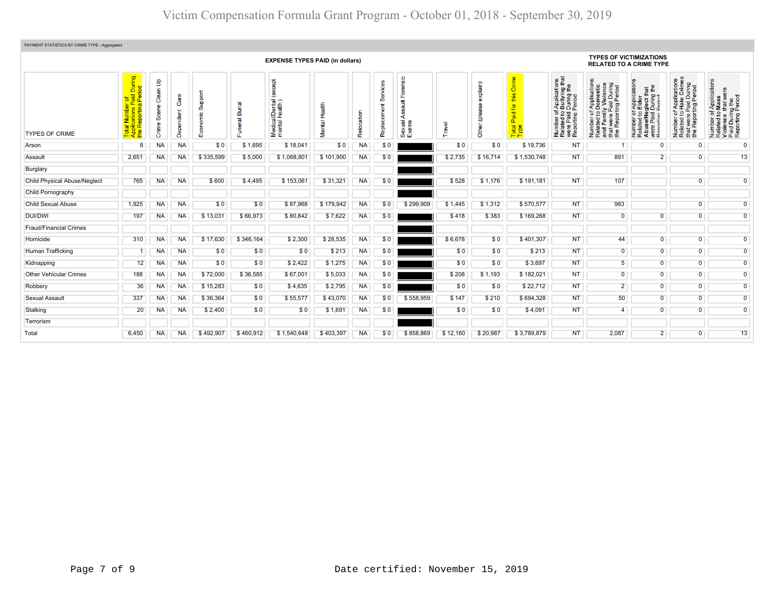| PAYMENT STATISTICS BY CRIME TYPE - Aggregated |                                                                                                |                            |                   |                     |                                               |                                            |                  |            |              |                                                   |          |                              |                                                                   |                                                                                                                                          |                                                                                                                                                                     |                                                                                                                                          |                                                                                                                                                  |                                                                                                                             |
|-----------------------------------------------|------------------------------------------------------------------------------------------------|----------------------------|-------------------|---------------------|-----------------------------------------------|--------------------------------------------|------------------|------------|--------------|---------------------------------------------------|----------|------------------------------|-------------------------------------------------------------------|------------------------------------------------------------------------------------------------------------------------------------------|---------------------------------------------------------------------------------------------------------------------------------------------------------------------|------------------------------------------------------------------------------------------------------------------------------------------|--------------------------------------------------------------------------------------------------------------------------------------------------|-----------------------------------------------------------------------------------------------------------------------------|
|                                               | <b>EXPENSE TYPES PAID (in dollars)</b>                                                         |                            |                   |                     |                                               |                                            |                  |            |              |                                                   |          |                              |                                                                   |                                                                                                                                          | <b>TYPES OF VICTIMIZATIONS</b><br><b>RELATED TO A CRIME TYPE</b>                                                                                                    |                                                                                                                                          |                                                                                                                                                  |                                                                                                                             |
| <b>TYPES OF CRIME</b>                         | During<br>iod<br>$\sigma$<br>ᅘᅀ<br>$\mathbf{a}$<br>$\overline{a}$<br>ź<br>œ<br>$\ddot{\sigma}$ | Clean Up<br>Scene<br>Crime | Care<br>Dependent | Support<br>ie<br>пī | Burial<br>$\overline{\mathfrak{a}}$<br>s<br>п | except<br>Medical/Dental<br>mental health) | Health<br>Mental | Relocation | ၯ<br>Replace | Forensic<br>$\frac{4}{3}$<br>∢<br>Sexual<br>Exams | ravel    | exp(ain)<br>(plea<br>ិច<br>흉 | Crime<br>this<br>$\overline{\mathsf{a}}$<br>Paid<br>Total<br>Type | ications<br>ring that<br>f Application<br>bullying the<br>Period<br>Period<br>5 º<br>Number of<br>Related to<br>were Paid<br>Reporting I | of Applications<br>co Domestic<br>illy Violence<br>Paid During<br>rting Period<br>৳<br>$\circ$<br>Number of<br>Related to<br>and Famil<br>that were I<br>the Report | cation<br>that<br>g the<br>isect the<br>During<br>Appli<br>Elde<br>59<br>e/Ne<br>Number<br>Related t<br>Abuse/N<br>were Pai<br>Reporting | Applications<br>Hate Crimes<br>During<br>Period<br>a.<br>Paid<br>ting F<br>$\overline{5}$ $\overline{9}$<br>t were<br>Number<br>Related<br>the i | f Applications<br>Mass<br>Number of Applicat<br>Related to Mass<br>Violence that wer<br>Paid During the<br>Reporting Period |
| Arson                                         | 8                                                                                              | <b>NA</b>                  | <b>NA</b>         | \$0                 | \$1,695                                       | \$18,041                                   | \$0              | <b>NA</b>  | \$0          |                                                   | \$0      | \$0                          | \$19,736                                                          | <b>NT</b>                                                                                                                                | 1                                                                                                                                                                   | $\overline{0}$                                                                                                                           | $\overline{0}$                                                                                                                                   | $\overline{0}$                                                                                                              |
| Assault                                       | 2,651                                                                                          | <b>NA</b>                  | <b>NA</b>         | \$335,599           | \$5,000                                       | \$1,068,801                                | \$101,900        | <b>NA</b>  | \$0          |                                                   | \$2.735  | \$16,714                     | \$1,530,748                                                       | <b>NT</b>                                                                                                                                | 891                                                                                                                                                                 | $2^{\circ}$                                                                                                                              | $\overline{0}$                                                                                                                                   | 13                                                                                                                          |
| Burglary                                      |                                                                                                |                            |                   |                     |                                               |                                            |                  |            |              |                                                   |          |                              |                                                                   |                                                                                                                                          |                                                                                                                                                                     |                                                                                                                                          |                                                                                                                                                  |                                                                                                                             |
| <b>Child Physical Abuse/Neglect</b>           | 765                                                                                            | NA                         | <b>NA</b>         | \$600               | \$4,495                                       | \$153,061                                  | \$31,321         | <b>NA</b>  | \$0          |                                                   | \$528    | \$1,176                      | \$191,181                                                         | <b>NT</b>                                                                                                                                | 107                                                                                                                                                                 |                                                                                                                                          | $\overline{0}$                                                                                                                                   | $\overline{0}$                                                                                                              |
| Child Pornography                             |                                                                                                |                            |                   |                     |                                               |                                            |                  |            |              |                                                   |          |                              |                                                                   |                                                                                                                                          |                                                                                                                                                                     |                                                                                                                                          |                                                                                                                                                  |                                                                                                                             |
| <b>Child Sexual Abuse</b>                     | 1,925                                                                                          | NA                         | <b>NA</b>         | \$0                 | \$0                                           | \$87,968                                   | \$179,942        | <b>NA</b>  | \$0          | \$299,909                                         | \$1,445  | \$1,312                      | \$570,577                                                         | <b>NT</b>                                                                                                                                | 983                                                                                                                                                                 |                                                                                                                                          | $\overline{0}$                                                                                                                                   | $\overline{0}$                                                                                                              |
| <b>DUI/DWI</b>                                | 197                                                                                            | NA                         | <b>NA</b>         | \$13,031            | \$66,973                                      | \$80,842                                   | \$7,622          | <b>NA</b>  | \$0          |                                                   | \$418    | \$383                        | \$169,268                                                         | <b>NT</b>                                                                                                                                | $\overline{0}$                                                                                                                                                      | $\overline{0}$                                                                                                                           | $\overline{0}$                                                                                                                                   | $\overline{0}$                                                                                                              |
| <b>Fraud/Financial Crimes</b>                 |                                                                                                |                            |                   |                     |                                               |                                            |                  |            |              |                                                   |          |                              |                                                                   |                                                                                                                                          |                                                                                                                                                                     |                                                                                                                                          |                                                                                                                                                  |                                                                                                                             |
| Homicide                                      | 310                                                                                            | NA                         | <b>NA</b>         | \$17.630            | \$346,164                                     | \$2,300                                    | \$28,535         | <b>NA</b>  | \$0          |                                                   | \$6,678  | \$0                          | \$401,307                                                         | <b>NT</b>                                                                                                                                | 44                                                                                                                                                                  | $\overline{0}$                                                                                                                           | $\overline{0}$                                                                                                                                   | $\overline{0}$                                                                                                              |
| Human Trafficking                             |                                                                                                | <b>NA</b>                  | <b>NA</b>         | \$0                 | \$0                                           | \$0                                        | \$213            | <b>NA</b>  | \$0          |                                                   | \$0      | \$0                          | \$213                                                             | <b>NT</b>                                                                                                                                | $\mathbf 0$                                                                                                                                                         | $\overline{0}$                                                                                                                           | $\overline{0}$                                                                                                                                   | $\overline{0}$                                                                                                              |
| Kidnapping                                    | 12                                                                                             | NA                         | <b>NA</b>         | \$0                 | \$0                                           | \$2,422                                    | \$1,275          | <b>NA</b>  | \$0          |                                                   | \$0      | \$0                          | \$3,697                                                           | <b>NT</b>                                                                                                                                | $5\overline{)}$                                                                                                                                                     | $\overline{0}$                                                                                                                           | $\overline{0}$                                                                                                                                   | $\overline{0}$                                                                                                              |
| Other Vehicular Crimes                        | 188                                                                                            | <b>NA</b>                  | <b>NA</b>         | \$72,000            | \$36,585                                      | \$67,001                                   | \$5,033          | <b>NA</b>  | \$0          |                                                   | \$208    | \$1,193                      | \$182,021                                                         | <b>NT</b>                                                                                                                                | $\mathbf 0$                                                                                                                                                         | $\mathsf{O}\xspace$                                                                                                                      | $\overline{0}$                                                                                                                                   | $\overline{0}$                                                                                                              |
| Robbery                                       | 36                                                                                             | NA                         | <b>NA</b>         | \$15,283            | \$0                                           | \$4,635                                    | \$2,795          | <b>NA</b>  | \$0          |                                                   | \$0      | \$0                          | \$22,712                                                          | <b>NT</b>                                                                                                                                | $\overline{2}$                                                                                                                                                      | $\overline{0}$                                                                                                                           | $\overline{0}$                                                                                                                                   | $\overline{0}$                                                                                                              |
| Sexual Assault                                | 337                                                                                            | NA                         | <b>NA</b>         | \$36,364            | \$0                                           | \$55,577                                   | \$43,070         | <b>NA</b>  | \$0          | \$558,959                                         | \$147    | \$210                        | \$694,328                                                         | <b>NT</b>                                                                                                                                | 50                                                                                                                                                                  | $\overline{0}$                                                                                                                           | $\overline{0}$                                                                                                                                   | $\overline{0}$                                                                                                              |
| Stalking                                      | 20                                                                                             | NA                         | <b>NA</b>         | \$2,400             | \$0                                           | \$0                                        | \$1,691          | NA         | \$0          |                                                   | \$0      | \$0                          | \$4,091                                                           | <b>NT</b>                                                                                                                                | $\overline{4}$                                                                                                                                                      | $\overline{0}$                                                                                                                           | $\overline{0}$                                                                                                                                   | $\overline{0}$                                                                                                              |
| Terrorism                                     |                                                                                                |                            |                   |                     |                                               |                                            |                  |            |              |                                                   |          |                              |                                                                   |                                                                                                                                          |                                                                                                                                                                     |                                                                                                                                          |                                                                                                                                                  |                                                                                                                             |
| Total                                         | 6,450                                                                                          | <b>NA</b>                  | <b>NA</b>         | \$492,907           | \$460,912                                     | \$1,540,648                                | \$403,397        | <b>NA</b>  | \$0          | \$858,869                                         | \$12,160 | \$20,987                     | \$3,789,879                                                       | <b>NT</b>                                                                                                                                | 2,087                                                                                                                                                               | 2 <sup>1</sup>                                                                                                                           | $\overline{0}$                                                                                                                                   | 13                                                                                                                          |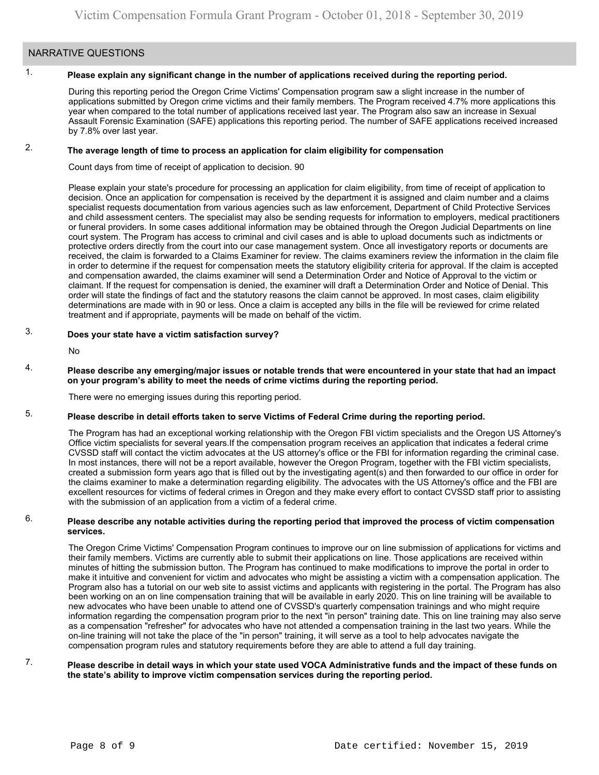# NARRATIVE QUESTIONS

# 1.

# **Please explain any significant change in the number of applications received during the reporting period.**

During this reporting period the Oregon Crime Victims' Compensation program saw a slight increase in the number of applications submitted by Oregon crime victims and their family members. The Program received 4.7% more applications this year when compared to the total number of applications received last year. The Program also saw an increase in Sexual Assault Forensic Examination (SAFE) applications this reporting period. The number of SAFE applications received increased by 7.8% over last year.

#### 2. **The average length of time to process an application for claim eligibility for compensation**

Count days from time of receipt of application to decision. 90

Please explain your state's procedure for processing an application for claim eligibility, from time of receipt of application to decision. Once an application for compensation is received by the department it is assigned and claim number and a claims specialist requests documentation from various agencies such as law enforcement, Department of Child Protective Services and child assessment centers. The specialist may also be sending requests for information to employers, medical practitioners or funeral providers. In some cases additional information may be obtained through the Oregon Judicial Departments on line court system. The Program has access to criminal and civil cases and is able to upload documents such as indictments or protective orders directly from the court into our case management system. Once all investigatory reports or documents are received, the claim is forwarded to a Claims Examiner for review. The claims examiners review the information in the claim file in order to determine if the request for compensation meets the statutory eligibility criteria for approval. If the claim is accepted and compensation awarded, the claims examiner will send a Determination Order and Notice of Approval to the victim or claimant. If the request for compensation is denied, the examiner will draft a Determination Order and Notice of Denial. This order will state the findings of fact and the statutory reasons the claim cannot be approved. In most cases, claim eligibility determinations are made with in 90 or less. Once a claim is accepted any bills in the file will be reviewed for crime related treatment and if appropriate, payments will be made on behalf of the victim.

#### 3. **Does your state have a victim satisfaction survey?**

No

### 4. **Please describe any emerging/major issues or notable trends that were encountered in your state that had an impact on your program's ability to meet the needs of crime victims during the reporting period.**

There were no emerging issues during this reporting period.

#### 5. **Please describe in detail efforts taken to serve Victims of Federal Crime during the reporting period.**

The Program has had an exceptional working relationship with the Oregon FBI victim specialists and the Oregon US Attorney's Office victim specialists for several [years.If](https://years.If) the compensation program receives an application that indicates a federal crime CVSSD staff will contact the victim advocates at the US attorney's office or the FBI for information regarding the criminal case. In most instances, there will not be a report available, however the Oregon Program, together with the FBI victim specialists, created a submission form years ago that is filled out by the investigating agent(s) and then forwarded to our office in order for the claims examiner to make a determination regarding eligibility. The advocates with the US Attorney's office and the FBI are excellent resources for victims of federal crimes in Oregon and they make every effort to contact CVSSD staff prior to assisting with the submission of an application from a victim of a federal crime.

### 6. **Please describe any notable activities during the reporting period that improved the process of victim compensation services.**

The Oregon Crime Victims' Compensation Program continues to improve our on line submission of applications for victims and their family members. Victims are currently able to submit their applications on line. Those applications are received within minutes of hitting the submission button. The Program has continued to make modifications to improve the portal in order to make it intuitive and convenient for victim and advocates who might be assisting a victim with a compensation application. The Program also has a tutorial on our web site to assist victims and applicants with registering in the portal. The Program has also been working on an on line compensation training that will be available in early 2020. This on line training will be available to new advocates who have been unable to attend one of CVSSD's quarterly compensation trainings and who might require information regarding the compensation program prior to the next "in person" training date. This on line training may also serve as a compensation "refresher" for advocates who have not attended a compensation training in the last two years. While the on-line training will not take the place of the "in person" training, it will serve as a tool to help advocates navigate the compensation program rules and statutory requirements before they are able to attend a full day training.

### 7. **Please describe in detail ways in which your state used VOCA Administrative funds and the impact of these funds on the state's ability to improve victim compensation services during the reporting period.**